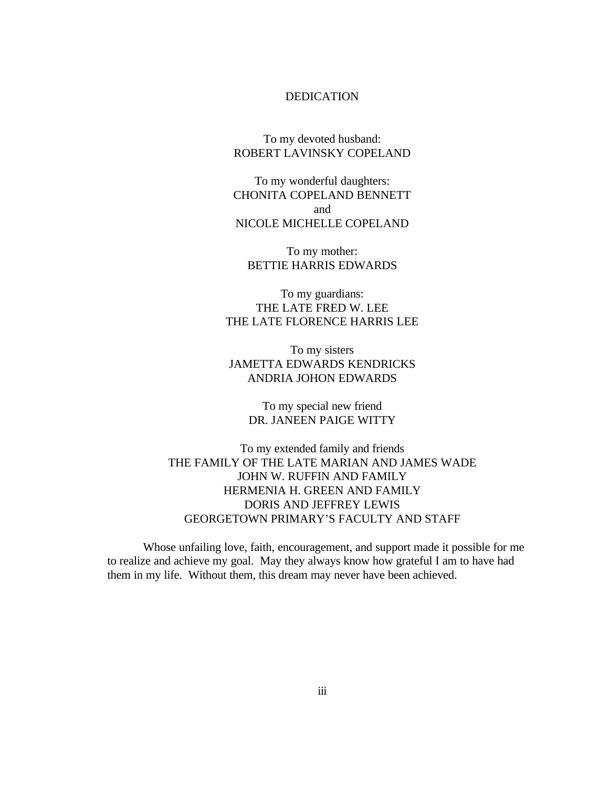#### DEDICATION

To my devoted husband: ROBERT LAVINSKY COPELAND

To my wonderful daughters: CHONITA COPELAND BENNETT and NICOLE MICHELLE COPELAND

To my mother: BETTIE HARRIS EDWARDS

To my guardians: THE LATE FRED W. LEE THE LATE FLORENCE HARRIS LEE

To my sisters JAMETTA EDWARDS KENDRICKS ANDRIA JOHON EDWARDS

> To my special new friend DR. JANEEN PAIGE WITTY

To my extended family and friends THE FAMILY OF THE LATE MARIAN AND JAMES WADE JOHN W. RUFFIN AND FAMILY HERMENIA H. GREEN AND FAMILY DORIS AND JEFFREY LEWIS GEORGETOWN PRIMARY'S FACULTY AND STAFF

Whose unfailing love, faith, encouragement, and support made it possible for me to realize and achieve my goal. May they always know how grateful I am to have had them in my life. Without them, this dream may never have been achieved.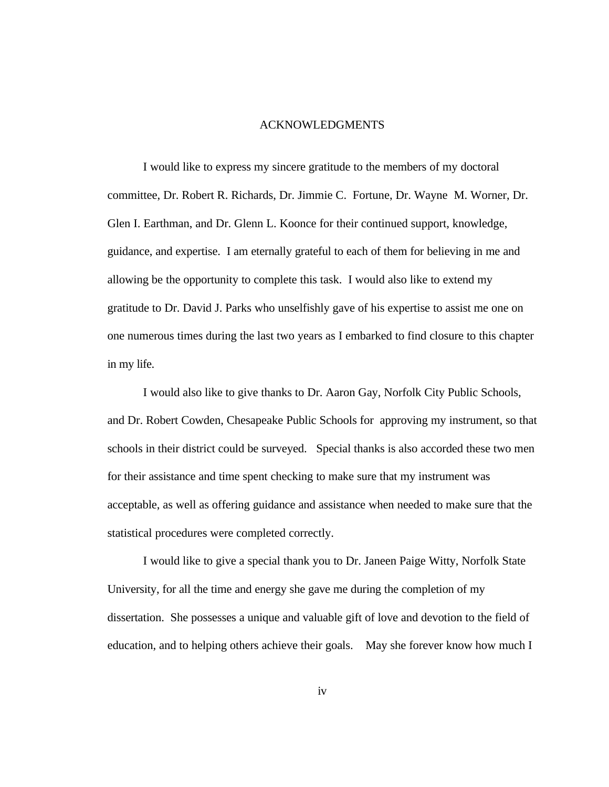#### ACKNOWLEDGMENTS

I would like to express my sincere gratitude to the members of my doctoral committee, Dr. Robert R. Richards, Dr. Jimmie C. Fortune, Dr. Wayne M. Worner, Dr. Glen I. Earthman, and Dr. Glenn L. Koonce for their continued support, knowledge, guidance, and expertise. I am eternally grateful to each of them for believing in me and allowing be the opportunity to complete this task. I would also like to extend my gratitude to Dr. David J. Parks who unselfishly gave of his expertise to assist me one on one numerous times during the last two years as I embarked to find closure to this chapter in my life.

I would also like to give thanks to Dr. Aaron Gay, Norfolk City Public Schools, and Dr. Robert Cowden, Chesapeake Public Schools for approving my instrument, so that schools in their district could be surveyed. Special thanks is also accorded these two men for their assistance and time spent checking to make sure that my instrument was acceptable, as well as offering guidance and assistance when needed to make sure that the statistical procedures were completed correctly.

I would like to give a special thank you to Dr. Janeen Paige Witty, Norfolk State University, for all the time and energy she gave me during the completion of my dissertation. She possesses a unique and valuable gift of love and devotion to the field of education, and to helping others achieve their goals. May she forever know how much I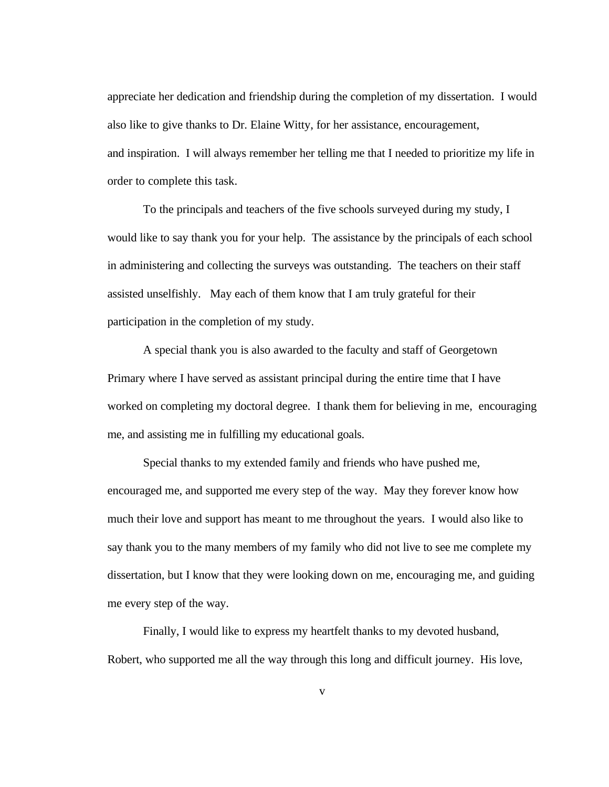appreciate her dedication and friendship during the completion of my dissertation. I would also like to give thanks to Dr. Elaine Witty, for her assistance, encouragement, and inspiration. I will always remember her telling me that I needed to prioritize my life in order to complete this task.

To the principals and teachers of the five schools surveyed during my study, I would like to say thank you for your help. The assistance by the principals of each school in administering and collecting the surveys was outstanding. The teachers on their staff assisted unselfishly. May each of them know that I am truly grateful for their participation in the completion of my study.

A special thank you is also awarded to the faculty and staff of Georgetown Primary where I have served as assistant principal during the entire time that I have worked on completing my doctoral degree. I thank them for believing in me, encouraging me, and assisting me in fulfilling my educational goals.

Special thanks to my extended family and friends who have pushed me, encouraged me, and supported me every step of the way. May they forever know how much their love and support has meant to me throughout the years. I would also like to say thank you to the many members of my family who did not live to see me complete my dissertation, but I know that they were looking down on me, encouraging me, and guiding me every step of the way.

Finally, I would like to express my heartfelt thanks to my devoted husband, Robert, who supported me all the way through this long and difficult journey. His love,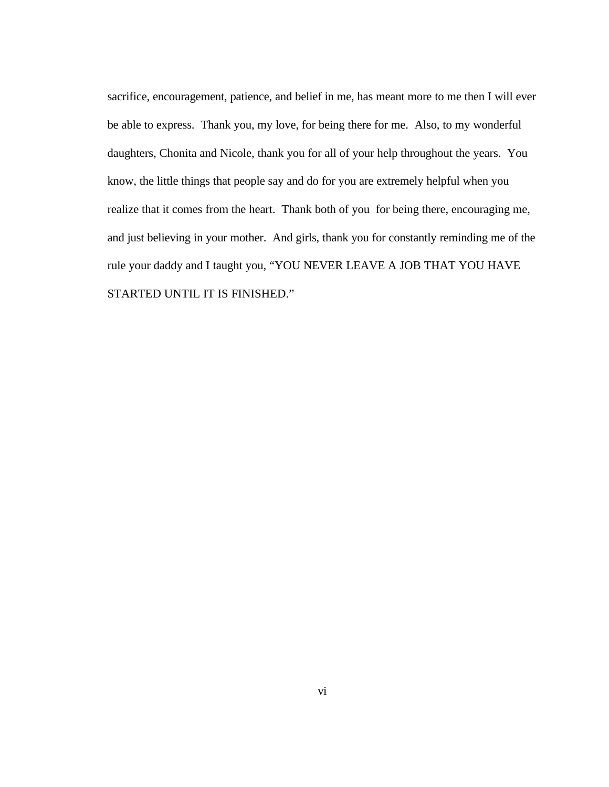sacrifice, encouragement, patience, and belief in me, has meant more to me then I will ever be able to express. Thank you, my love, for being there for me. Also, to my wonderful daughters, Chonita and Nicole, thank you for all of your help throughout the years. You know, the little things that people say and do for you are extremely helpful when you realize that it comes from the heart. Thank both of you for being there, encouraging me, and just believing in your mother. And girls, thank you for constantly reminding me of the rule your daddy and I taught you, "YOU NEVER LEAVE A JOB THAT YOU HAVE STARTED UNTIL IT IS FINISHED."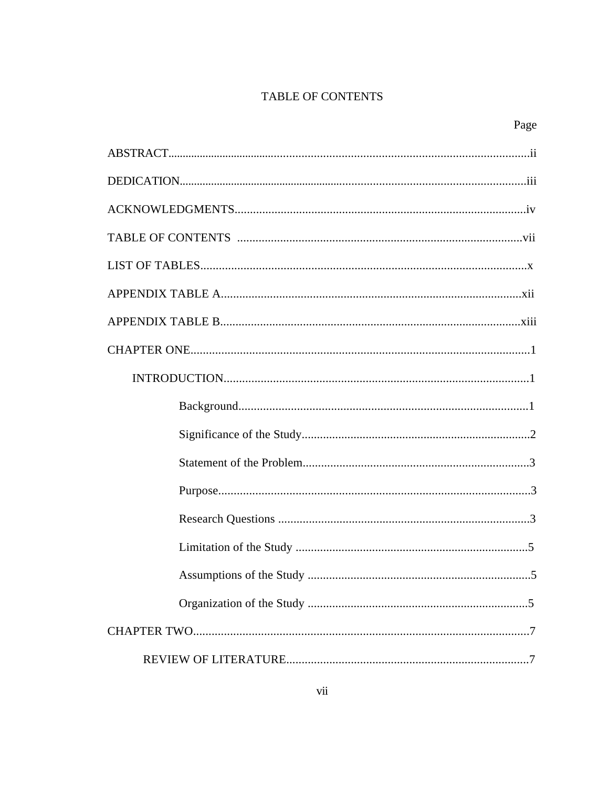# TABLE OF CONTENTS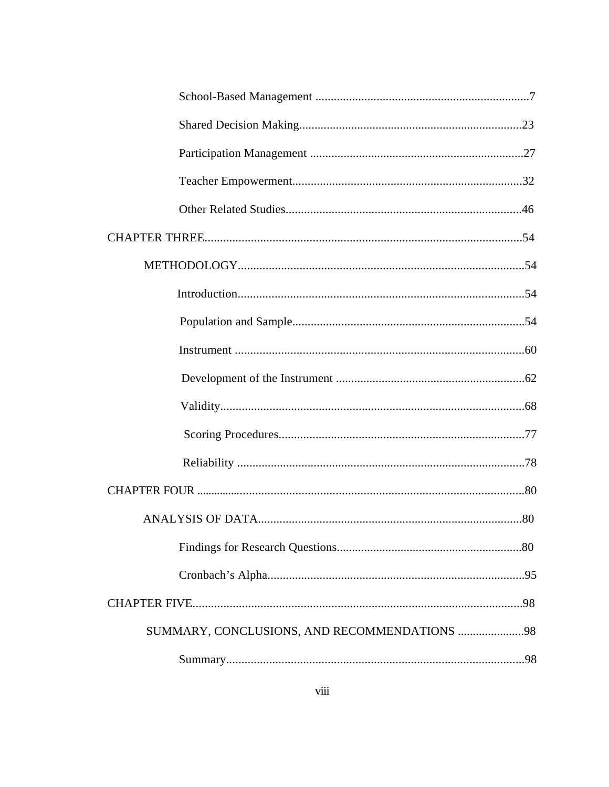| SUMMARY, CONCLUSIONS, AND RECOMMENDATIONS 98 |  |
|----------------------------------------------|--|
|                                              |  |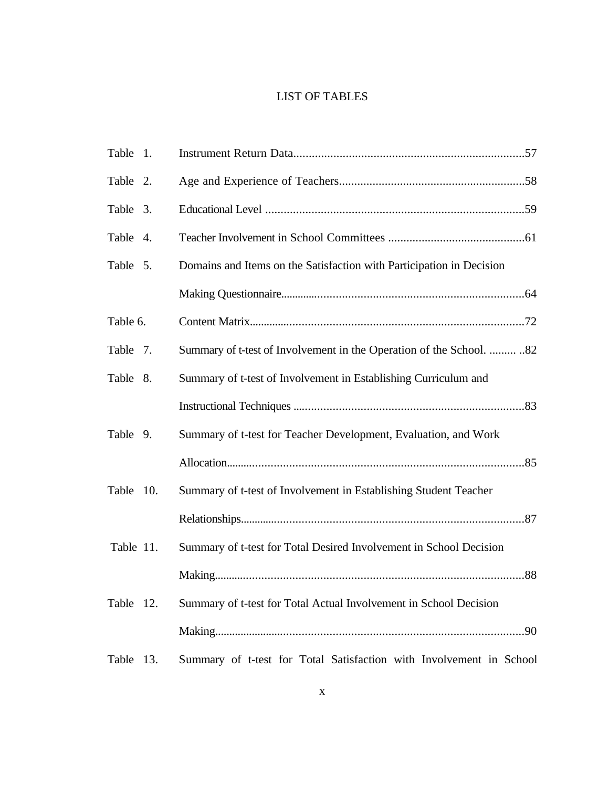### LIST OF TABLES

| Table 1.  |                                                                      |
|-----------|----------------------------------------------------------------------|
| Table 2.  |                                                                      |
| Table 3.  |                                                                      |
| Table 4.  |                                                                      |
| Table 5.  | Domains and Items on the Satisfaction with Participation in Decision |
|           |                                                                      |
| Table 6.  |                                                                      |
| Table 7.  | Summary of t-test of Involvement in the Operation of the School.  82 |
| Table 8.  | Summary of t-test of Involvement in Establishing Curriculum and      |
|           |                                                                      |
| Table 9.  | Summary of t-test for Teacher Development, Evaluation, and Work      |
|           |                                                                      |
| Table 10. | Summary of t-test of Involvement in Establishing Student Teacher     |
|           |                                                                      |
| Table 11. | Summary of t-test for Total Desired Involvement in School Decision   |
|           |                                                                      |
| Table 12. | Summary of t-test for Total Actual Involvement in School Decision    |
|           |                                                                      |
| Table 13. | Summary of t-test for Total Satisfaction with Involvement in School  |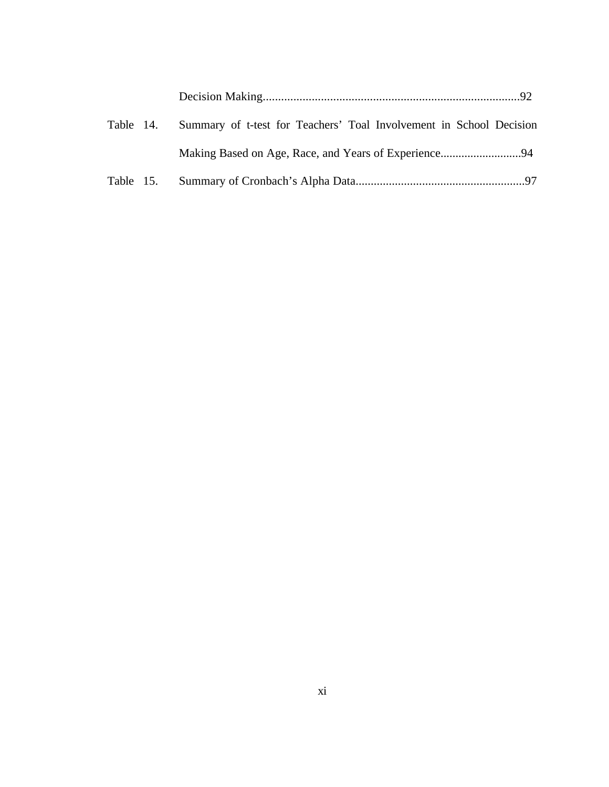|  | Table 14. Summary of t-test for Teachers' Toal Involvement in School Decision |  |
|--|-------------------------------------------------------------------------------|--|
|  |                                                                               |  |
|  |                                                                               |  |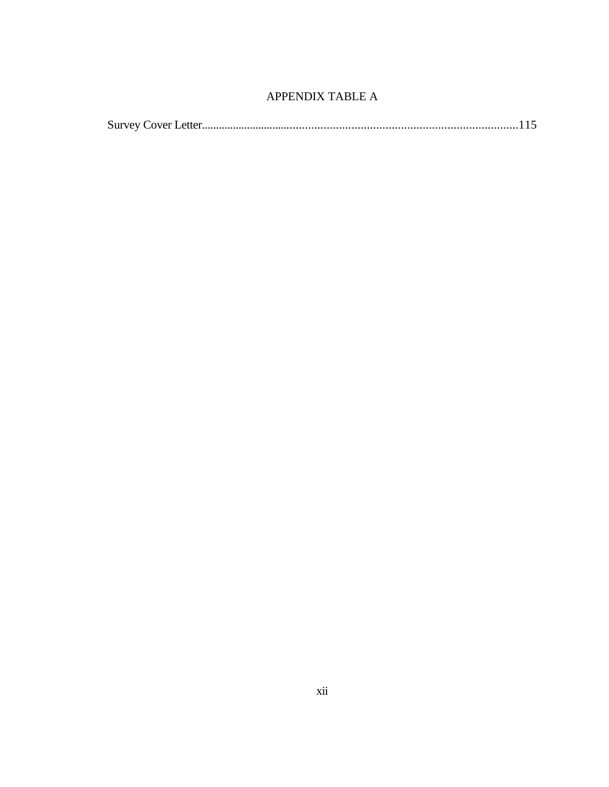### APPENDIX TABLE A

|--|--|--|--|